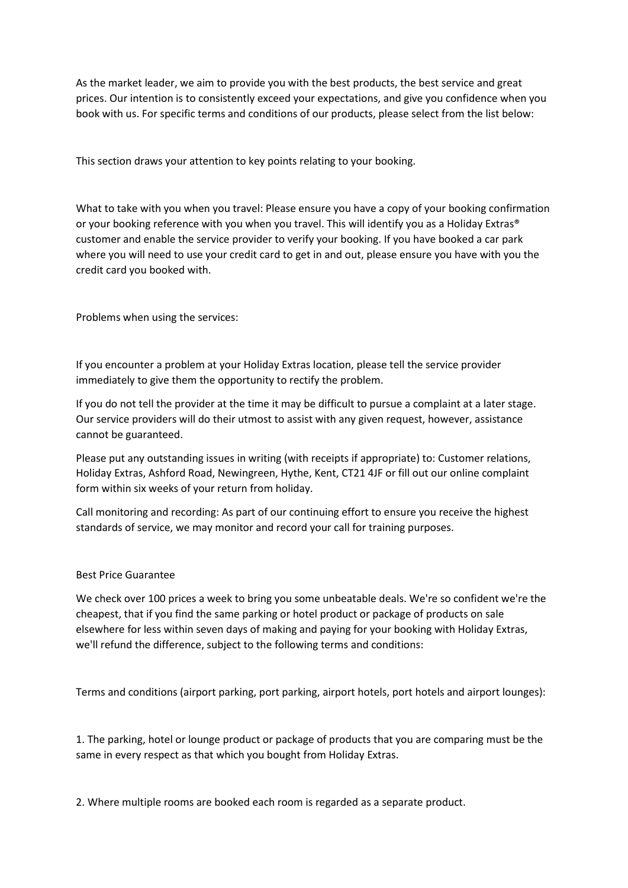As the market leader, we aim to provide you with the best products, the best service and great prices. Our intention is to consistently exceed your expectations, and give you confidence when you book with us. For specific terms and conditions of our products, please select from the list below:

This section draws your attention to key points relating to your booking.

What to take with you when you travel: Please ensure you have a copy of your booking confirmation or your booking reference with you when you travel. This will identify you as a Holiday Extras® customer and enable the service provider to verify your booking. If you have booked a car park where you will need to use your credit card to get in and out, please ensure you have with you the credit card you booked with.

Problems when using the services:

If you encounter a problem at your Holiday Extras location, please tell the service provider immediately to give them the opportunity to rectify the problem.

If you do not tell the provider at the time it may be difficult to pursue a complaint at a later stage. Our service providers will do their utmost to assist with any given request, however, assistance cannot be guaranteed.

Please put any outstanding issues in writing (with receipts if appropriate) to: Customer relations, Holiday Extras, Ashford Road, Newingreen, Hythe, Kent, CT21 4JF or fill out our online complaint form within six weeks of your return from holiday.

Call monitoring and recording: As part of our continuing effort to ensure you receive the highest standards of service, we may monitor and record your call for training purposes.

## Best Price Guarantee

We check over 100 prices a week to bring you some unbeatable deals. We're so confident we're the cheapest, that if you find the same parking or hotel product or package of products on sale elsewhere for less within seven days of making and paying for your booking with Holiday Extras, we'll refund the difference, subject to the following terms and conditions:

Terms and conditions (airport parking, port parking, airport hotels, port hotels and airport lounges):

1. The parking, hotel or lounge product or package of products that you are comparing must be the same in every respect as that which you bought from Holiday Extras.

2. Where multiple rooms are booked each room is regarded as a separate product.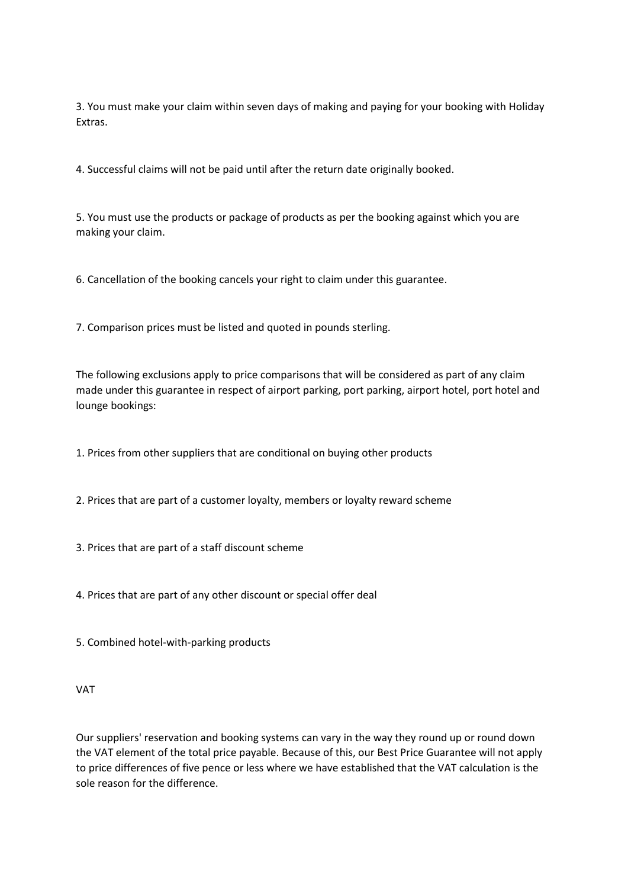3. You must make your claim within seven days of making and paying for your booking with Holiday Extras.

4. Successful claims will not be paid until after the return date originally booked.

5. You must use the products or package of products as per the booking against which you are making your claim.

6. Cancellation of the booking cancels your right to claim under this guarantee.

7. Comparison prices must be listed and quoted in pounds sterling.

The following exclusions apply to price comparisons that will be considered as part of any claim made under this guarantee in respect of airport parking, port parking, airport hotel, port hotel and lounge bookings:

1. Prices from other suppliers that are conditional on buying other products

- 2. Prices that are part of a customer loyalty, members or loyalty reward scheme
- 3. Prices that are part of a staff discount scheme

4. Prices that are part of any other discount or special offer deal

5. Combined hotel-with-parking products

VAT

Our suppliers' reservation and booking systems can vary in the way they round up or round down the VAT element of the total price payable. Because of this, our Best Price Guarantee will not apply to price differences of five pence or less where we have established that the VAT calculation is the sole reason for the difference.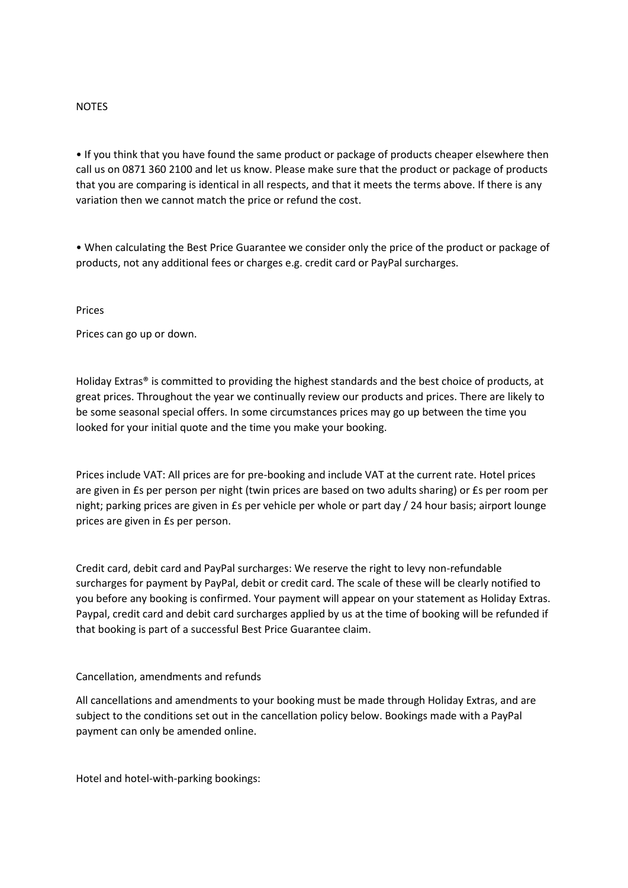### NOTES

• If you think that you have found the same product or package of products cheaper elsewhere then call us on 0871 360 2100 and let us know. Please make sure that the product or package of products that you are comparing is identical in all respects, and that it meets the terms above. If there is any variation then we cannot match the price or refund the cost.

• When calculating the Best Price Guarantee we consider only the price of the product or package of products, not any additional fees or charges e.g. credit card or PayPal surcharges.

### Prices

Prices can go up or down.

Holiday Extras® is committed to providing the highest standards and the best choice of products, at great prices. Throughout the year we continually review our products and prices. There are likely to be some seasonal special offers. In some circumstances prices may go up between the time you looked for your initial quote and the time you make your booking.

Prices include VAT: All prices are for pre-booking and include VAT at the current rate. Hotel prices are given in £s per person per night (twin prices are based on two adults sharing) or £s per room per night; parking prices are given in £s per vehicle per whole or part day / 24 hour basis; airport lounge prices are given in £s per person.

Credit card, debit card and PayPal surcharges: We reserve the right to levy non-refundable surcharges for payment by PayPal, debit or credit card. The scale of these will be clearly notified to you before any booking is confirmed. Your payment will appear on your statement as Holiday Extras. Paypal, credit card and debit card surcharges applied by us at the time of booking will be refunded if that booking is part of a successful Best Price Guarantee claim.

### Cancellation, amendments and refunds

All cancellations and amendments to your booking must be made through Holiday Extras, and are subject to the conditions set out in the cancellation policy below. Bookings made with a PayPal payment can only be amended online.

Hotel and hotel-with-parking bookings: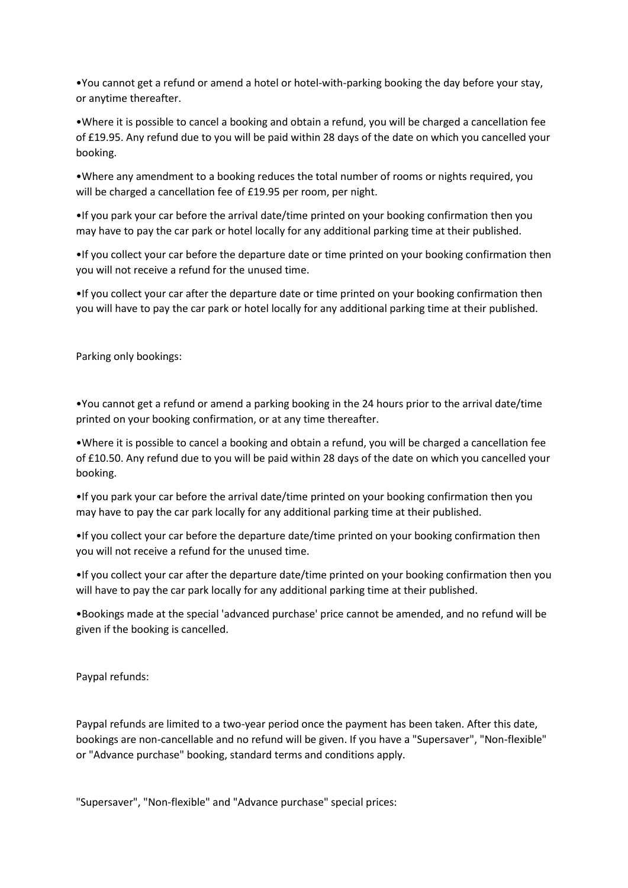•You cannot get a refund or amend a hotel or hotel-with-parking booking the day before your stay, or anytime thereafter.

•Where it is possible to cancel a booking and obtain a refund, you will be charged a cancellation fee of £19.95. Any refund due to you will be paid within 28 days of the date on which you cancelled your booking.

•Where any amendment to a booking reduces the total number of rooms or nights required, you will be charged a cancellation fee of £19.95 per room, per night.

•If you park your car before the arrival date/time printed on your booking confirmation then you may have to pay the car park or hotel locally for any additional parking time at their published.

•If you collect your car before the departure date or time printed on your booking confirmation then you will not receive a refund for the unused time.

•If you collect your car after the departure date or time printed on your booking confirmation then you will have to pay the car park or hotel locally for any additional parking time at their published.

Parking only bookings:

•You cannot get a refund or amend a parking booking in the 24 hours prior to the arrival date/time printed on your booking confirmation, or at any time thereafter.

•Where it is possible to cancel a booking and obtain a refund, you will be charged a cancellation fee of £10.50. Any refund due to you will be paid within 28 days of the date on which you cancelled your booking.

•If you park your car before the arrival date/time printed on your booking confirmation then you may have to pay the car park locally for any additional parking time at their published.

•If you collect your car before the departure date/time printed on your booking confirmation then you will not receive a refund for the unused time.

•If you collect your car after the departure date/time printed on your booking confirmation then you will have to pay the car park locally for any additional parking time at their published.

•Bookings made at the special 'advanced purchase' price cannot be amended, and no refund will be given if the booking is cancelled.

Paypal refunds:

Paypal refunds are limited to a two-year period once the payment has been taken. After this date, bookings are non-cancellable and no refund will be given. If you have a "Supersaver", "Non-flexible" or "Advance purchase" booking, standard terms and conditions apply.

"Supersaver", "Non-flexible" and "Advance purchase" special prices: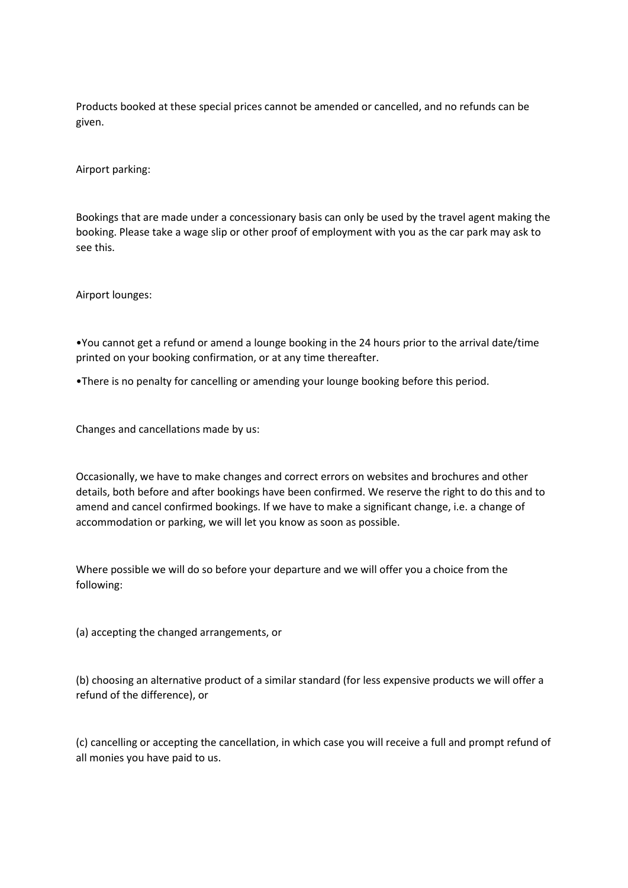Products booked at these special prices cannot be amended or cancelled, and no refunds can be given.

Airport parking:

Bookings that are made under a concessionary basis can only be used by the travel agent making the booking. Please take a wage slip or other proof of employment with you as the car park may ask to see this.

Airport lounges:

•You cannot get a refund or amend a lounge booking in the 24 hours prior to the arrival date/time printed on your booking confirmation, or at any time thereafter.

•There is no penalty for cancelling or amending your lounge booking before this period.

Changes and cancellations made by us:

Occasionally, we have to make changes and correct errors on websites and brochures and other details, both before and after bookings have been confirmed. We reserve the right to do this and to amend and cancel confirmed bookings. If we have to make a significant change, i.e. a change of accommodation or parking, we will let you know as soon as possible.

Where possible we will do so before your departure and we will offer you a choice from the following:

(a) accepting the changed arrangements, or

(b) choosing an alternative product of a similar standard (for less expensive products we will offer a refund of the difference), or

(c) cancelling or accepting the cancellation, in which case you will receive a full and prompt refund of all monies you have paid to us.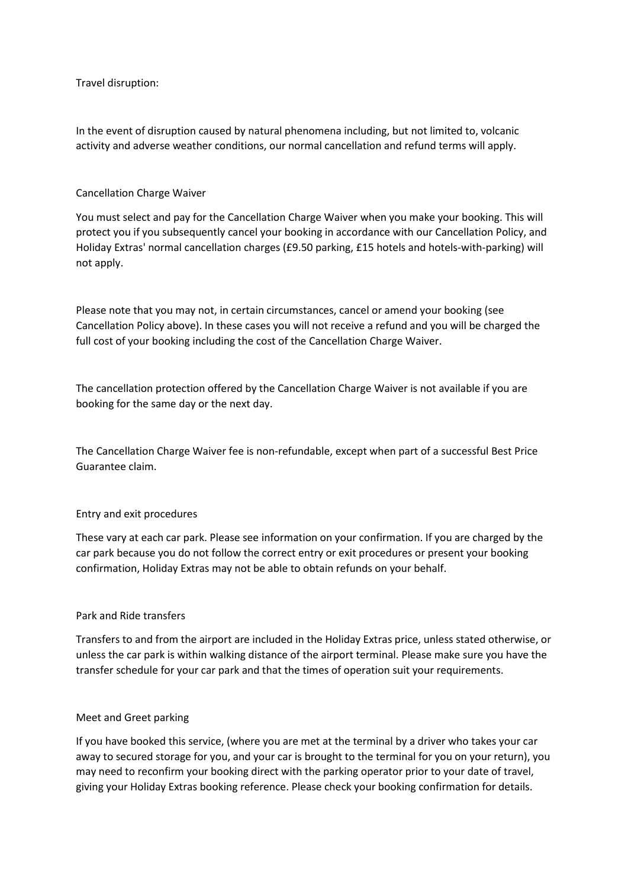Travel disruption:

In the event of disruption caused by natural phenomena including, but not limited to, volcanic activity and adverse weather conditions, our normal cancellation and refund terms will apply.

### Cancellation Charge Waiver

You must select and pay for the Cancellation Charge Waiver when you make your booking. This will protect you if you subsequently cancel your booking in accordance with our Cancellation Policy, and Holiday Extras' normal cancellation charges (£9.50 parking, £15 hotels and hotels-with-parking) will not apply.

Please note that you may not, in certain circumstances, cancel or amend your booking (see Cancellation Policy above). In these cases you will not receive a refund and you will be charged the full cost of your booking including the cost of the Cancellation Charge Waiver.

The cancellation protection offered by the Cancellation Charge Waiver is not available if you are booking for the same day or the next day.

The Cancellation Charge Waiver fee is non-refundable, except when part of a successful Best Price Guarantee claim.

### Entry and exit procedures

These vary at each car park. Please see information on your confirmation. If you are charged by the car park because you do not follow the correct entry or exit procedures or present your booking confirmation, Holiday Extras may not be able to obtain refunds on your behalf.

### Park and Ride transfers

Transfers to and from the airport are included in the Holiday Extras price, unless stated otherwise, or unless the car park is within walking distance of the airport terminal. Please make sure you have the transfer schedule for your car park and that the times of operation suit your requirements.

### Meet and Greet parking

If you have booked this service, (where you are met at the terminal by a driver who takes your car away to secured storage for you, and your car is brought to the terminal for you on your return), you may need to reconfirm your booking direct with the parking operator prior to your date of travel, giving your Holiday Extras booking reference. Please check your booking confirmation for details.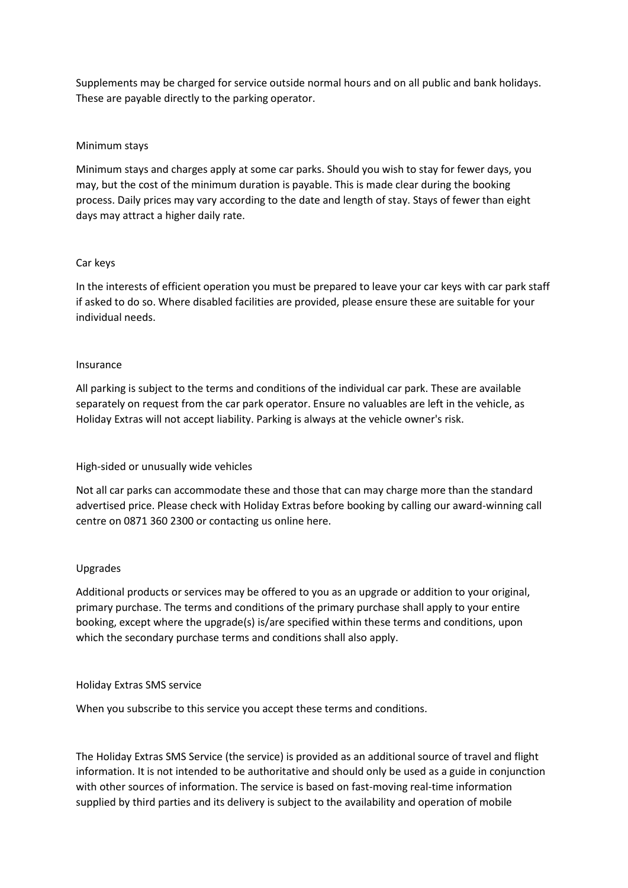Supplements may be charged for service outside normal hours and on all public and bank holidays. These are payable directly to the parking operator.

## Minimum stays

Minimum stays and charges apply at some car parks. Should you wish to stay for fewer days, you may, but the cost of the minimum duration is payable. This is made clear during the booking process. Daily prices may vary according to the date and length of stay. Stays of fewer than eight days may attract a higher daily rate.

### Car keys

In the interests of efficient operation you must be prepared to leave your car keys with car park staff if asked to do so. Where disabled facilities are provided, please ensure these are suitable for your individual needs.

### Insurance

All parking is subject to the terms and conditions of the individual car park. These are available separately on request from the car park operator. Ensure no valuables are left in the vehicle, as Holiday Extras will not accept liability. Parking is always at the vehicle owner's risk.

## High-sided or unusually wide vehicles

Not all car parks can accommodate these and those that can may charge more than the standard advertised price. Please check with Holiday Extras before booking by calling our award-winning call centre on 0871 360 2300 or contacting us online here.

### Upgrades

Additional products or services may be offered to you as an upgrade or addition to your original, primary purchase. The terms and conditions of the primary purchase shall apply to your entire booking, except where the upgrade(s) is/are specified within these terms and conditions, upon which the secondary purchase terms and conditions shall also apply.

### Holiday Extras SMS service

When you subscribe to this service you accept these terms and conditions.

The Holiday Extras SMS Service (the service) is provided as an additional source of travel and flight information. It is not intended to be authoritative and should only be used as a guide in conjunction with other sources of information. The service is based on fast-moving real-time information supplied by third parties and its delivery is subject to the availability and operation of mobile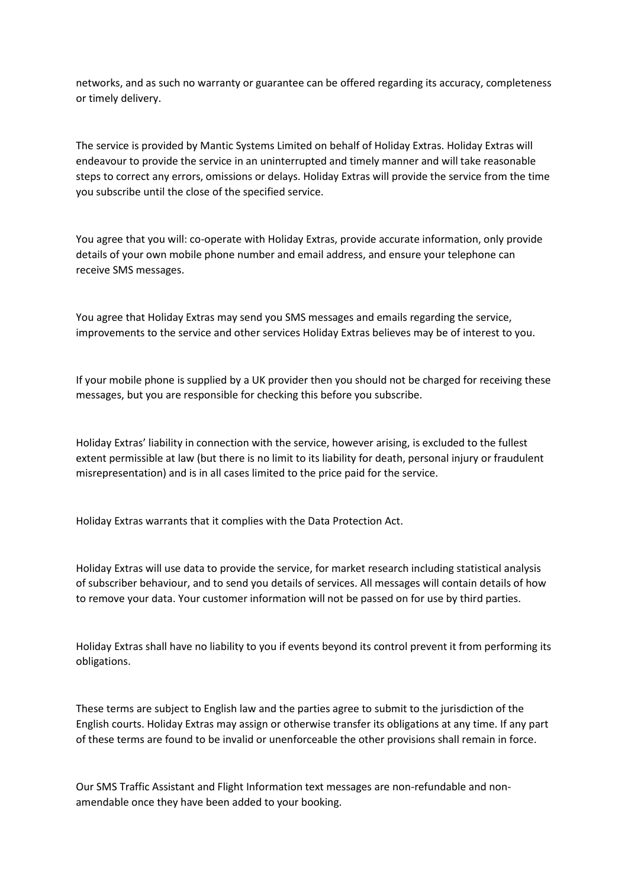networks, and as such no warranty or guarantee can be offered regarding its accuracy, completeness or timely delivery.

The service is provided by Mantic Systems Limited on behalf of Holiday Extras. Holiday Extras will endeavour to provide the service in an uninterrupted and timely manner and will take reasonable steps to correct any errors, omissions or delays. Holiday Extras will provide the service from the time you subscribe until the close of the specified service.

You agree that you will: co-operate with Holiday Extras, provide accurate information, only provide details of your own mobile phone number and email address, and ensure your telephone can receive SMS messages.

You agree that Holiday Extras may send you SMS messages and emails regarding the service, improvements to the service and other services Holiday Extras believes may be of interest to you.

If your mobile phone is supplied by a UK provider then you should not be charged for receiving these messages, but you are responsible for checking this before you subscribe.

Holiday Extras' liability in connection with the service, however arising, is excluded to the fullest extent permissible at law (but there is no limit to its liability for death, personal injury or fraudulent misrepresentation) and is in all cases limited to the price paid for the service.

Holiday Extras warrants that it complies with the Data Protection Act.

Holiday Extras will use data to provide the service, for market research including statistical analysis of subscriber behaviour, and to send you details of services. All messages will contain details of how to remove your data. Your customer information will not be passed on for use by third parties.

Holiday Extras shall have no liability to you if events beyond its control prevent it from performing its obligations.

These terms are subject to English law and the parties agree to submit to the jurisdiction of the English courts. Holiday Extras may assign or otherwise transfer its obligations at any time. If any part of these terms are found to be invalid or unenforceable the other provisions shall remain in force.

Our SMS Traffic Assistant and Flight Information text messages are non-refundable and nonamendable once they have been added to your booking.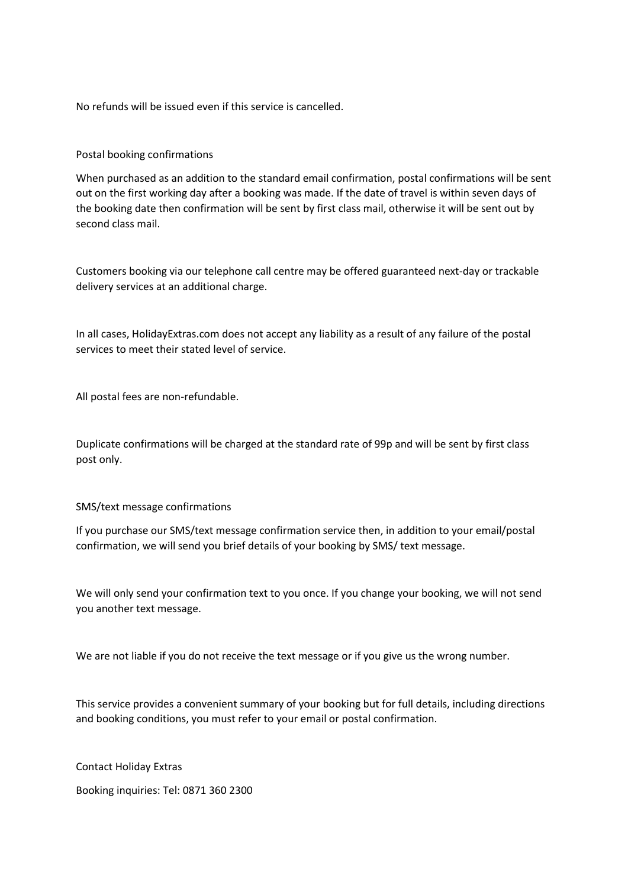No refunds will be issued even if this service is cancelled.

# Postal booking confirmations

When purchased as an addition to the standard email confirmation, postal confirmations will be sent out on the first working day after a booking was made. If the date of travel is within seven days of the booking date then confirmation will be sent by first class mail, otherwise it will be sent out by second class mail.

Customers booking via our telephone call centre may be offered guaranteed next-day or trackable delivery services at an additional charge.

In all cases, HolidayExtras.com does not accept any liability as a result of any failure of the postal services to meet their stated level of service.

All postal fees are non-refundable.

Duplicate confirmations will be charged at the standard rate of 99p and will be sent by first class post only.

## SMS/text message confirmations

If you purchase our SMS/text message confirmation service then, in addition to your email/postal confirmation, we will send you brief details of your booking by SMS/ text message.

We will only send your confirmation text to you once. If you change your booking, we will not send you another text message.

We are not liable if you do not receive the text message or if you give us the wrong number.

This service provides a convenient summary of your booking but for full details, including directions and booking conditions, you must refer to your email or postal confirmation.

Contact Holiday Extras

Booking inquiries: Tel: 0871 360 2300